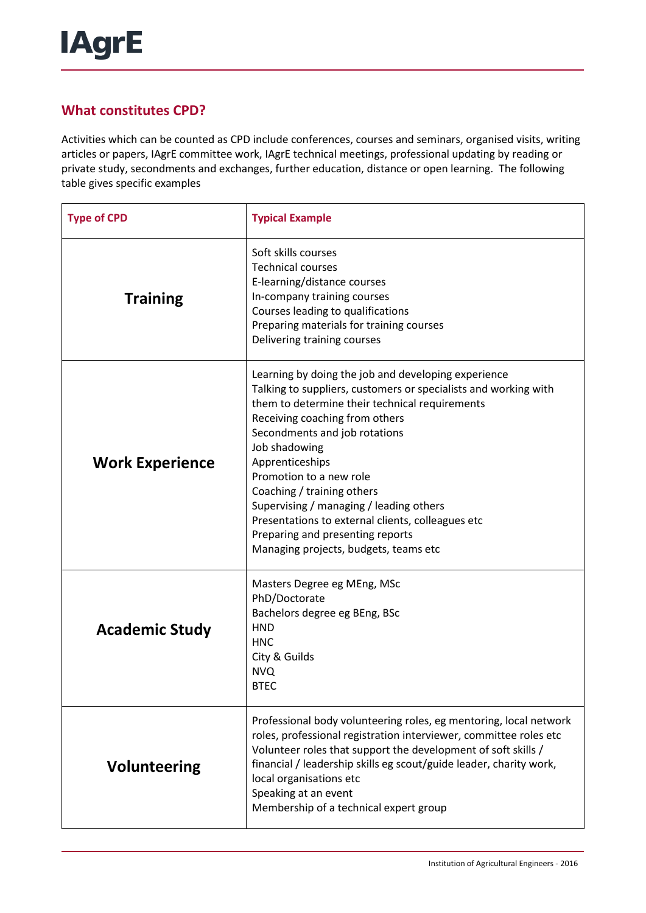## **What constitutes CPD?**

Activities which can be counted as CPD include conferences, courses and seminars, organised visits, writing articles or papers, IAgrE committee work, IAgrE technical meetings, professional updating by reading or private study, secondments and exchanges, further education, distance or open learning. The following table gives specific examples

| <b>Type of CPD</b>     | <b>Typical Example</b>                                                                                                                                                                                                                                                                                                                                                                                                                                                                                                |
|------------------------|-----------------------------------------------------------------------------------------------------------------------------------------------------------------------------------------------------------------------------------------------------------------------------------------------------------------------------------------------------------------------------------------------------------------------------------------------------------------------------------------------------------------------|
| <b>Training</b>        | Soft skills courses<br><b>Technical courses</b><br>E-learning/distance courses<br>In-company training courses<br>Courses leading to qualifications<br>Preparing materials for training courses<br>Delivering training courses                                                                                                                                                                                                                                                                                         |
| <b>Work Experience</b> | Learning by doing the job and developing experience<br>Talking to suppliers, customers or specialists and working with<br>them to determine their technical requirements<br>Receiving coaching from others<br>Secondments and job rotations<br>Job shadowing<br>Apprenticeships<br>Promotion to a new role<br>Coaching / training others<br>Supervising / managing / leading others<br>Presentations to external clients, colleagues etc<br>Preparing and presenting reports<br>Managing projects, budgets, teams etc |
| <b>Academic Study</b>  | Masters Degree eg MEng, MSc<br>PhD/Doctorate<br>Bachelors degree eg BEng, BSc<br><b>HND</b><br><b>HNC</b><br>City & Guilds<br><b>NVQ</b><br><b>BTEC</b>                                                                                                                                                                                                                                                                                                                                                               |
| <b>Volunteering</b>    | Professional body volunteering roles, eg mentoring, local network<br>roles, professional registration interviewer, committee roles etc<br>Volunteer roles that support the development of soft skills /<br>financial / leadership skills eg scout/guide leader, charity work,<br>local organisations etc<br>Speaking at an event<br>Membership of a technical expert group                                                                                                                                            |